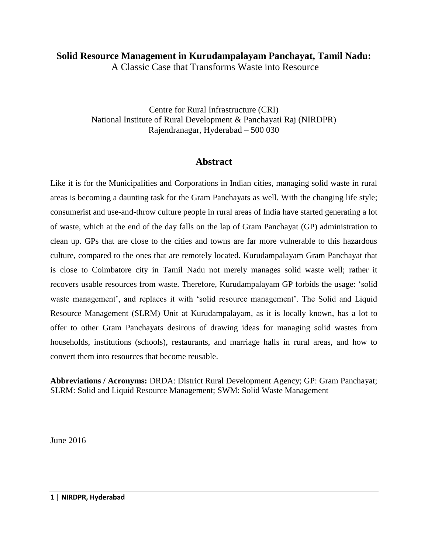# **Solid Resource Management in Kurudampalayam Panchayat, Tamil Nadu:**

A Classic Case that Transforms Waste into Resource

Centre for Rural Infrastructure (CRI) National Institute of Rural Development & Panchayati Raj (NIRDPR) Rajendranagar, Hyderabad – 500 030

## **Abstract**

Like it is for the Municipalities and Corporations in Indian cities, managing solid waste in rural areas is becoming a daunting task for the Gram Panchayats as well. With the changing life style; consumerist and use-and-throw culture people in rural areas of India have started generating a lot of waste, which at the end of the day falls on the lap of Gram Panchayat (GP) administration to clean up. GPs that are close to the cities and towns are far more vulnerable to this hazardous culture, compared to the ones that are remotely located. Kurudampalayam Gram Panchayat that is close to Coimbatore city in Tamil Nadu not merely manages solid waste well; rather it recovers usable resources from waste. Therefore, Kurudampalayam GP forbids the usage: 'solid waste management', and replaces it with 'solid resource management'. The Solid and Liquid Resource Management (SLRM) Unit at Kurudampalayam, as it is locally known, has a lot to offer to other Gram Panchayats desirous of drawing ideas for managing solid wastes from households, institutions (schools), restaurants, and marriage halls in rural areas, and how to convert them into resources that become reusable.

**Abbreviations / Acronyms:** DRDA: District Rural Development Agency; GP: Gram Panchayat; SLRM: Solid and Liquid Resource Management; SWM: Solid Waste Management

June 2016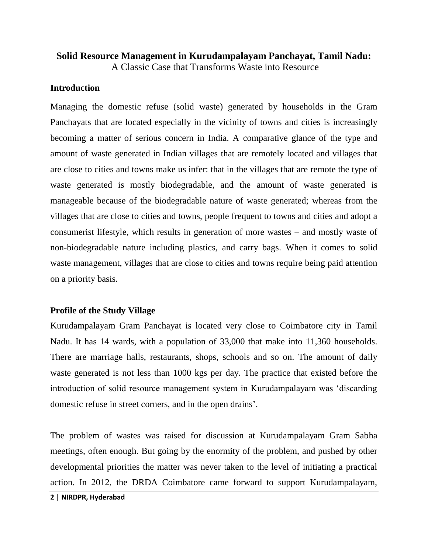# **Solid Resource Management in Kurudampalayam Panchayat, Tamil Nadu:** A Classic Case that Transforms Waste into Resource

#### **Introduction**

Managing the domestic refuse (solid waste) generated by households in the Gram Panchayats that are located especially in the vicinity of towns and cities is increasingly becoming a matter of serious concern in India. A comparative glance of the type and amount of waste generated in Indian villages that are remotely located and villages that are close to cities and towns make us infer: that in the villages that are remote the type of waste generated is mostly biodegradable, and the amount of waste generated is manageable because of the biodegradable nature of waste generated; whereas from the villages that are close to cities and towns, people frequent to towns and cities and adopt a consumerist lifestyle, which results in generation of more wastes – and mostly waste of non-biodegradable nature including plastics, and carry bags. When it comes to solid waste management, villages that are close to cities and towns require being paid attention on a priority basis.

#### **Profile of the Study Village**

Kurudampalayam Gram Panchayat is located very close to Coimbatore city in Tamil Nadu. It has 14 wards, with a population of 33,000 that make into 11,360 households. There are marriage halls, restaurants, shops, schools and so on. The amount of daily waste generated is not less than 1000 kgs per day. The practice that existed before the introduction of solid resource management system in Kurudampalayam was 'discarding domestic refuse in street corners, and in the open drains'.

The problem of wastes was raised for discussion at Kurudampalayam Gram Sabha meetings, often enough. But going by the enormity of the problem, and pushed by other developmental priorities the matter was never taken to the level of initiating a practical action. In 2012, the DRDA Coimbatore came forward to support Kurudampalayam,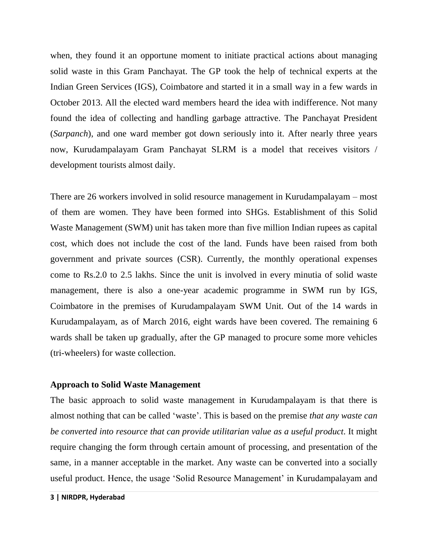when, they found it an opportune moment to initiate practical actions about managing solid waste in this Gram Panchayat. The GP took the help of technical experts at the Indian Green Services (IGS), Coimbatore and started it in a small way in a few wards in October 2013. All the elected ward members heard the idea with indifference. Not many found the idea of collecting and handling garbage attractive. The Panchayat President (*Sarpanch*), and one ward member got down seriously into it. After nearly three years now, Kurudampalayam Gram Panchayat SLRM is a model that receives visitors / development tourists almost daily.

There are 26 workers involved in solid resource management in Kurudampalayam – most of them are women. They have been formed into SHGs. Establishment of this Solid Waste Management (SWM) unit has taken more than five million Indian rupees as capital cost, which does not include the cost of the land. Funds have been raised from both government and private sources (CSR). Currently, the monthly operational expenses come to Rs.2.0 to 2.5 lakhs. Since the unit is involved in every minutia of solid waste management, there is also a one-year academic programme in SWM run by IGS, Coimbatore in the premises of Kurudampalayam SWM Unit. Out of the 14 wards in Kurudampalayam, as of March 2016, eight wards have been covered. The remaining 6 wards shall be taken up gradually, after the GP managed to procure some more vehicles (tri-wheelers) for waste collection.

#### **Approach to Solid Waste Management**

The basic approach to solid waste management in Kurudampalayam is that there is almost nothing that can be called 'waste'. This is based on the premise *that any waste can be converted into resource that can provide utilitarian value as a useful product*. It might require changing the form through certain amount of processing, and presentation of the same, in a manner acceptable in the market. Any waste can be converted into a socially useful product. Hence, the usage 'Solid Resource Management' in Kurudampalayam and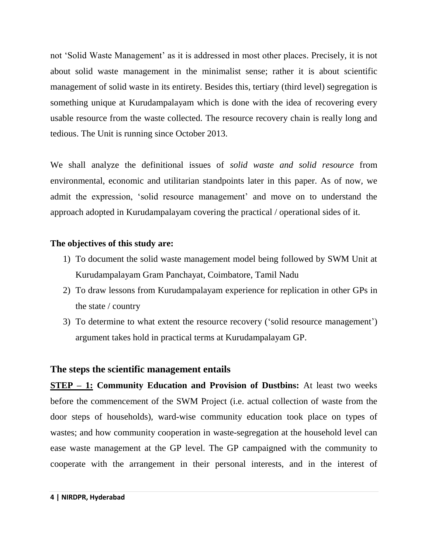not 'Solid Waste Management' as it is addressed in most other places. Precisely, it is not about solid waste management in the minimalist sense; rather it is about scientific management of solid waste in its entirety. Besides this, tertiary (third level) segregation is something unique at Kurudampalayam which is done with the idea of recovering every usable resource from the waste collected. The resource recovery chain is really long and tedious. The Unit is running since October 2013.

We shall analyze the definitional issues of *solid waste and solid resource* from environmental, economic and utilitarian standpoints later in this paper. As of now, we admit the expression, 'solid resource management' and move on to understand the approach adopted in Kurudampalayam covering the practical / operational sides of it.

### **The objectives of this study are:**

- 1) To document the solid waste management model being followed by SWM Unit at Kurudampalayam Gram Panchayat, Coimbatore, Tamil Nadu
- 2) To draw lessons from Kurudampalayam experience for replication in other GPs in the state / country
- 3) To determine to what extent the resource recovery ('solid resource management') argument takes hold in practical terms at Kurudampalayam GP.

### **The steps the scientific management entails**

**STEP – 1: Community Education and Provision of Dustbins:** At least two weeks before the commencement of the SWM Project (i.e. actual collection of waste from the door steps of households), ward-wise community education took place on types of wastes; and how community cooperation in waste-segregation at the household level can ease waste management at the GP level. The GP campaigned with the community to cooperate with the arrangement in their personal interests, and in the interest of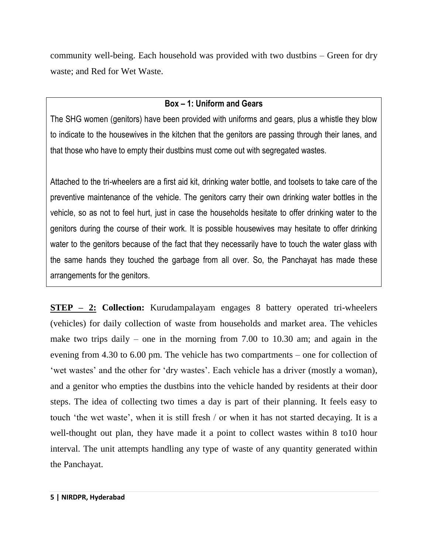community well-being. Each household was provided with two dustbins – Green for dry waste; and Red for Wet Waste.

## **Box – 1: Uniform and Gears**

The SHG women (genitors) have been provided with uniforms and gears, plus a whistle they blow to indicate to the housewives in the kitchen that the genitors are passing through their lanes, and that those who have to empty their dustbins must come out with segregated wastes.

Attached to the tri-wheelers are a first aid kit, drinking water bottle, and toolsets to take care of the preventive maintenance of the vehicle. The genitors carry their own drinking water bottles in the vehicle, so as not to feel hurt, just in case the households hesitate to offer drinking water to the genitors during the course of their work. It is possible housewives may hesitate to offer drinking water to the genitors because of the fact that they necessarily have to touch the water glass with the same hands they touched the garbage from all over. So, the Panchayat has made these arrangements for the genitors.

**STEP – 2: Collection:** Kurudampalayam engages 8 battery operated tri-wheelers (vehicles) for daily collection of waste from households and market area. The vehicles make two trips daily – one in the morning from 7.00 to 10.30 am; and again in the evening from 4.30 to 6.00 pm. The vehicle has two compartments – one for collection of 'wet wastes' and the other for 'dry wastes'. Each vehicle has a driver (mostly a woman), and a genitor who empties the dustbins into the vehicle handed by residents at their door steps. The idea of collecting two times a day is part of their planning. It feels easy to touch 'the wet waste', when it is still fresh / or when it has not started decaying. It is a well-thought out plan, they have made it a point to collect wastes within 8 to 10 hour interval. The unit attempts handling any type of waste of any quantity generated within the Panchayat.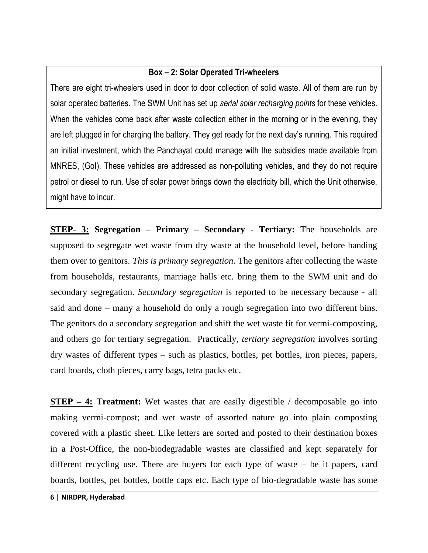## **Box – 2: Solar Operated Tri-wheelers**

There are eight tri-wheelers used in door to door collection of solid waste. All of them are run by solar operated batteries. The SWM Unit has set up *serial solar recharging points* for these vehicles. When the vehicles come back after waste collection either in the morning or in the evening, they are left plugged in for charging the battery. They get ready for the next day's running. This required an initial investment, which the Panchayat could manage with the subsidies made available from MNRES, (GoI). These vehicles are addressed as non-polluting vehicles, and they do not require petrol or diesel to run. Use of solar power brings down the electricity bill, which the Unit otherwise, might have to incur.

**STEP- 3: Segregation – Primary – Secondary - Tertiary:** The households are supposed to segregate wet waste from dry waste at the household level, before handing them over to genitors. *This is primary segregation*. The genitors after collecting the waste from households, restaurants, marriage halls etc. bring them to the SWM unit and do secondary segregation. *Secondary segregation* is reported to be necessary because - all said and done – many a household do only a rough segregation into two different bins. The genitors do a secondary segregation and shift the wet waste fit for vermi-composting, and others go for tertiary segregation. Practically, *tertiary segregation* involves sorting dry wastes of different types – such as plastics, bottles, pet bottles, iron pieces, papers, card boards, cloth pieces, carry bags, tetra packs etc.

**STEP – 4: Treatment:** Wet wastes that are easily digestible / decomposable go into making vermi-compost; and wet waste of assorted nature go into plain composting covered with a plastic sheet. Like letters are sorted and posted to their destination boxes in a Post-Office, the non-biodegradable wastes are classified and kept separately for different recycling use. There are buyers for each type of waste – be it papers, card boards, bottles, pet bottles, bottle caps etc. Each type of bio-degradable waste has some

**6 | NIRDPR, Hyderabad**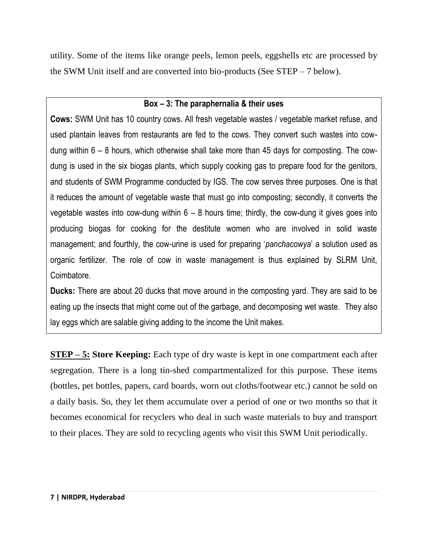utility. Some of the items like orange peels, lemon peels, eggshells etc are processed by the SWM Unit itself and are converted into bio-products (See STEP – 7 below).

# **Box – 3: The paraphernalia & their uses**

**Cows:** SWM Unit has 10 country cows. All fresh vegetable wastes / vegetable market refuse, and used plantain leaves from restaurants are fed to the cows. They convert such wastes into cowdung within 6 – 8 hours, which otherwise shall take more than 45 days for composting. The cowdung is used in the six biogas plants, which supply cooking gas to prepare food for the genitors, and students of SWM Programme conducted by IGS. The cow serves three purposes. One is that it reduces the amount of vegetable waste that must go into composting; secondly, it converts the vegetable wastes into cow-dung within  $6 - 8$  hours time; thirdly, the cow-dung it gives goes into producing biogas for cooking for the destitute women who are involved in solid waste management; and fourthly, the cow-urine is used for preparing '*panchacowya*' a solution used as organic fertilizer. The role of cow in waste management is thus explained by SLRM Unit, Coimbatore.

**Ducks:** There are about 20 ducks that move around in the composting yard. They are said to be eating up the insects that might come out of the garbage, and decomposing wet waste. They also lay eggs which are salable giving adding to the income the Unit makes.

**STEP – 5: Store Keeping:** Each type of dry waste is kept in one compartment each after segregation. There is a long tin-shed compartmentalized for this purpose. These items (bottles, pet bottles, papers, card boards, worn out cloths/footwear etc.) cannot be sold on a daily basis. So, they let them accumulate over a period of one or two months so that it becomes economical for recyclers who deal in such waste materials to buy and transport to their places. They are sold to recycling agents who visit this SWM Unit periodically.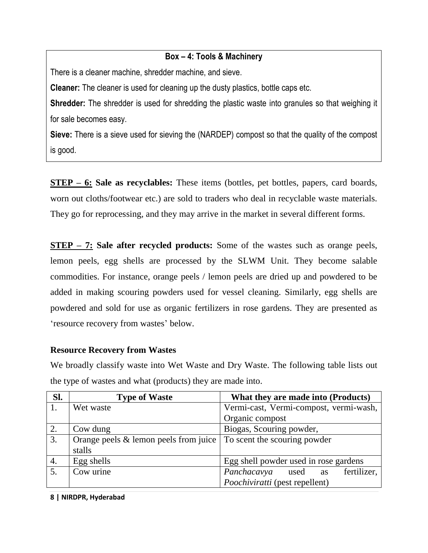## **Box – 4: Tools & Machinery**

There is a cleaner machine, shredder machine, and sieve.

**Cleaner:** The cleaner is used for cleaning up the dusty plastics, bottle caps etc.

**Shredder:** The shredder is used for shredding the plastic waste into granules so that weighing it for sale becomes easy.

**Sieve:** There is a sieve used for sieving the (NARDEP) compost so that the quality of the compost is good.

**STEP – 6: Sale as recyclables:** These items (bottles, pet bottles, papers, card boards, worn out cloths/footwear etc.) are sold to traders who deal in recyclable waste materials. They go for reprocessing, and they may arrive in the market in several different forms.

**STEP – 7: Sale after recycled products:** Some of the wastes such as orange peels, lemon peels, egg shells are processed by the SLWM Unit. They become salable commodities. For instance, orange peels / lemon peels are dried up and powdered to be added in making scouring powders used for vessel cleaning. Similarly, egg shells are powdered and sold for use as organic fertilizers in rose gardens. They are presented as 'resource recovery from wastes' below.

#### **Resource Recovery from Wastes**

We broadly classify waste into Wet Waste and Dry Waste. The following table lists out the type of wastes and what (products) they are made into.

| Sl.              | <b>Type of Waste</b>                     | What they are made into (Products)              |
|------------------|------------------------------------------|-------------------------------------------------|
|                  | Wet waste                                | Vermi-cast, Vermi-compost, vermi-wash,          |
|                  |                                          | Organic compost                                 |
| $\overline{2}$ . | Cow dung                                 | Biogas, Scouring powder,                        |
| $\overline{3}$ . | Orange peels $\&$ lemon peels from juice | To scent the scouring powder                    |
|                  | stalls                                   |                                                 |
| 4.               | Egg shells                               | Egg shell powder used in rose gardens           |
| 5.               | Cow urine                                | fertilizer,<br>Panchacavya<br>used<br><b>as</b> |
|                  |                                          | <i>Poochiviratti</i> (pest repellent)           |

**8 | NIRDPR, Hyderabad**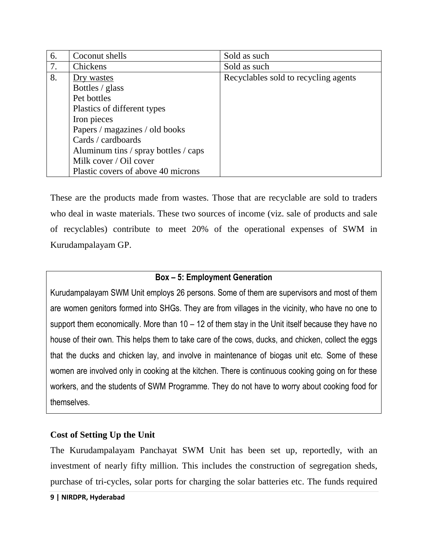| 6. | Coconut shells                       | Sold as such                         |
|----|--------------------------------------|--------------------------------------|
| 7. | Chickens                             | Sold as such                         |
| 8. | Dry wastes                           | Recyclables sold to recycling agents |
|    | Bottles / glass                      |                                      |
|    | Pet bottles                          |                                      |
|    | Plastics of different types          |                                      |
|    | Iron pieces                          |                                      |
|    | Papers / magazines / old books       |                                      |
|    | Cards / cardboards                   |                                      |
|    | Aluminum tins / spray bottles / caps |                                      |
|    | Milk cover / Oil cover               |                                      |
|    | Plastic covers of above 40 microns   |                                      |

These are the products made from wastes. Those that are recyclable are sold to traders who deal in waste materials. These two sources of income (viz. sale of products and sale of recyclables) contribute to meet 20% of the operational expenses of SWM in Kurudampalayam GP.

## **Box – 5: Employment Generation**

Kurudampalayam SWM Unit employs 26 persons. Some of them are supervisors and most of them are women genitors formed into SHGs. They are from villages in the vicinity, who have no one to support them economically. More than  $10 - 12$  of them stay in the Unit itself because they have no house of their own. This helps them to take care of the cows, ducks, and chicken, collect the eggs that the ducks and chicken lay, and involve in maintenance of biogas unit etc. Some of these women are involved only in cooking at the kitchen. There is continuous cooking going on for these workers, and the students of SWM Programme. They do not have to worry about cooking food for themselves.

### **Cost of Setting Up the Unit**

The Kurudampalayam Panchayat SWM Unit has been set up, reportedly, with an investment of nearly fifty million. This includes the construction of segregation sheds, purchase of tri-cycles, solar ports for charging the solar batteries etc. The funds required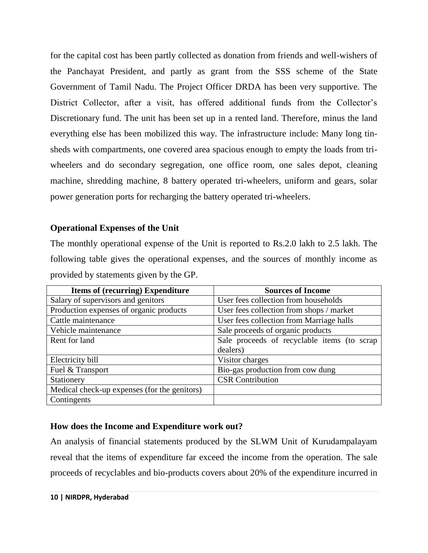for the capital cost has been partly collected as donation from friends and well-wishers of the Panchayat President, and partly as grant from the SSS scheme of the State Government of Tamil Nadu. The Project Officer DRDA has been very supportive. The District Collector, after a visit, has offered additional funds from the Collector's Discretionary fund. The unit has been set up in a rented land. Therefore, minus the land everything else has been mobilized this way. The infrastructure include: Many long tinsheds with compartments, one covered area spacious enough to empty the loads from triwheelers and do secondary segregation, one office room, one sales depot, cleaning machine, shredding machine, 8 battery operated tri-wheelers, uniform and gears, solar power generation ports for recharging the battery operated tri-wheelers.

### **Operational Expenses of the Unit**

The monthly operational expense of the Unit is reported to Rs.2.0 lakh to 2.5 lakh. The following table gives the operational expenses, and the sources of monthly income as provided by statements given by the GP.

| <b>Items of (recurring) Expenditure</b>      | <b>Sources of Income</b>                    |
|----------------------------------------------|---------------------------------------------|
| Salary of supervisors and genitors           | User fees collection from households        |
| Production expenses of organic products      | User fees collection from shops / market    |
| Cattle maintenance                           | User fees collection from Marriage halls    |
| Vehicle maintenance                          | Sale proceeds of organic products           |
| Rent for land                                | Sale proceeds of recyclable items (to scrap |
|                                              | dealers)                                    |
| Electricity bill                             | Visitor charges                             |
| Fuel & Transport                             | Bio-gas production from cow dung            |
| Stationery                                   | <b>CSR</b> Contribution                     |
| Medical check-up expenses (for the genitors) |                                             |
| Contingents                                  |                                             |

## **How does the Income and Expenditure work out?**

An analysis of financial statements produced by the SLWM Unit of Kurudampalayam reveal that the items of expenditure far exceed the income from the operation. The sale proceeds of recyclables and bio-products covers about 20% of the expenditure incurred in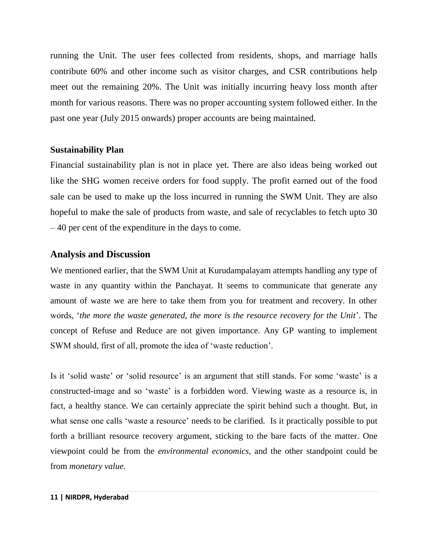running the Unit. The user fees collected from residents, shops, and marriage halls contribute 60% and other income such as visitor charges, and CSR contributions help meet out the remaining 20%. The Unit was initially incurring heavy loss month after month for various reasons. There was no proper accounting system followed either. In the past one year (July 2015 onwards) proper accounts are being maintained.

#### **Sustainability Plan**

Financial sustainability plan is not in place yet. There are also ideas being worked out like the SHG women receive orders for food supply. The profit earned out of the food sale can be used to make up the loss incurred in running the SWM Unit. They are also hopeful to make the sale of products from waste, and sale of recyclables to fetch upto 30 – 40 per cent of the expenditure in the days to come.

### **Analysis and Discussion**

We mentioned earlier, that the SWM Unit at Kurudampalayam attempts handling any type of waste in any quantity within the Panchayat. It seems to communicate that generate any amount of waste we are here to take them from you for treatment and recovery. In other words, '*the more the waste generated, the more is the resource recovery for the Unit*'. The concept of Refuse and Reduce are not given importance. Any GP wanting to implement SWM should, first of all, promote the idea of 'waste reduction'.

Is it 'solid waste' or 'solid resource' is an argument that still stands. For some 'waste' is a constructed-image and so 'waste' is a forbidden word. Viewing waste as a resource is, in fact, a healthy stance. We can certainly appreciate the spirit behind such a thought. But, in what sense one calls 'waste a resource' needs to be clarified. Is it practically possible to put forth a brilliant resource recovery argument, sticking to the bare facts of the matter. One viewpoint could be from the *environmental economics*, and the other standpoint could be from *monetary value*.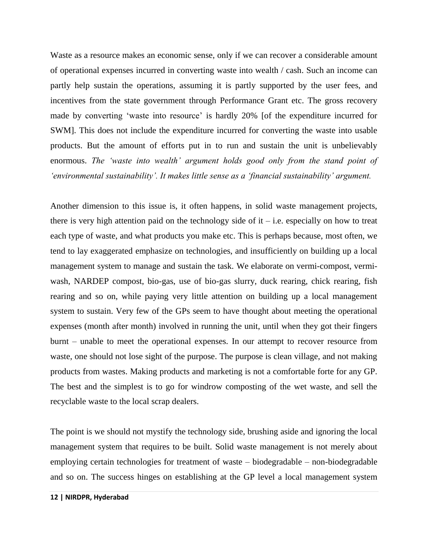Waste as a resource makes an economic sense, only if we can recover a considerable amount of operational expenses incurred in converting waste into wealth / cash. Such an income can partly help sustain the operations, assuming it is partly supported by the user fees, and incentives from the state government through Performance Grant etc. The gross recovery made by converting 'waste into resource' is hardly 20% [of the expenditure incurred for SWM]. This does not include the expenditure incurred for converting the waste into usable products. But the amount of efforts put in to run and sustain the unit is unbelievably enormous. *The 'waste into wealth' argument holds good only from the stand point of 'environmental sustainability'. It makes little sense as a 'financial sustainability' argument.* 

Another dimension to this issue is, it often happens, in solid waste management projects, there is very high attention paid on the technology side of it – i.e. especially on how to treat each type of waste, and what products you make etc. This is perhaps because, most often, we tend to lay exaggerated emphasize on technologies, and insufficiently on building up a local management system to manage and sustain the task. We elaborate on vermi-compost, vermiwash, NARDEP compost, bio-gas, use of bio-gas slurry, duck rearing, chick rearing, fish rearing and so on, while paying very little attention on building up a local management system to sustain. Very few of the GPs seem to have thought about meeting the operational expenses (month after month) involved in running the unit, until when they got their fingers burnt – unable to meet the operational expenses. In our attempt to recover resource from waste, one should not lose sight of the purpose. The purpose is clean village, and not making products from wastes. Making products and marketing is not a comfortable forte for any GP. The best and the simplest is to go for windrow composting of the wet waste, and sell the recyclable waste to the local scrap dealers.

The point is we should not mystify the technology side, brushing aside and ignoring the local management system that requires to be built. Solid waste management is not merely about employing certain technologies for treatment of waste – biodegradable – non-biodegradable and so on. The success hinges on establishing at the GP level a local management system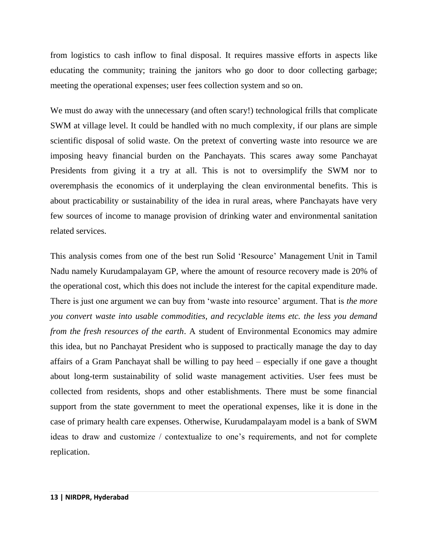from logistics to cash inflow to final disposal. It requires massive efforts in aspects like educating the community; training the janitors who go door to door collecting garbage; meeting the operational expenses; user fees collection system and so on.

We must do away with the unnecessary (and often scary!) technological frills that complicate SWM at village level. It could be handled with no much complexity, if our plans are simple scientific disposal of solid waste. On the pretext of converting waste into resource we are imposing heavy financial burden on the Panchayats. This scares away some Panchayat Presidents from giving it a try at all. This is not to oversimplify the SWM nor to overemphasis the economics of it underplaying the clean environmental benefits. This is about practicability or sustainability of the idea in rural areas, where Panchayats have very few sources of income to manage provision of drinking water and environmental sanitation related services.

This analysis comes from one of the best run Solid 'Resource' Management Unit in Tamil Nadu namely Kurudampalayam GP, where the amount of resource recovery made is 20% of the operational cost, which this does not include the interest for the capital expenditure made. There is just one argument we can buy from 'waste into resource' argument. That is *the more you convert waste into usable commodities, and recyclable items etc. the less you demand from the fresh resources of the earth*. A student of Environmental Economics may admire this idea, but no Panchayat President who is supposed to practically manage the day to day affairs of a Gram Panchayat shall be willing to pay heed – especially if one gave a thought about long-term sustainability of solid waste management activities. User fees must be collected from residents, shops and other establishments. There must be some financial support from the state government to meet the operational expenses, like it is done in the case of primary health care expenses. Otherwise, Kurudampalayam model is a bank of SWM ideas to draw and customize / contextualize to one's requirements, and not for complete replication.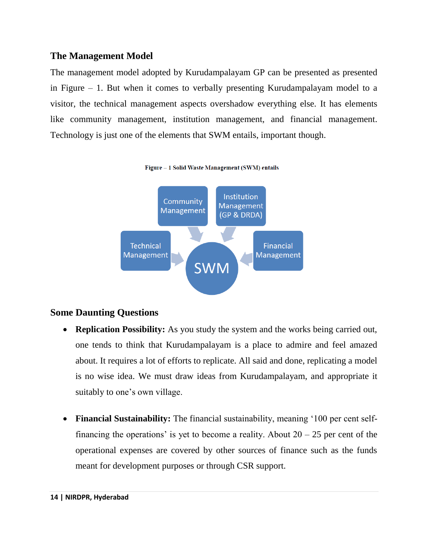# **The Management Model**

The management model adopted by Kurudampalayam GP can be presented as presented in Figure – 1. But when it comes to verbally presenting Kurudampalayam model to a visitor, the technical management aspects overshadow everything else. It has elements like community management, institution management, and financial management. Technology is just one of the elements that SWM entails, important though.



Figure - 1 Solid Waste Management (SWM) entails

## **Some Daunting Questions**

- **Replication Possibility:** As you study the system and the works being carried out, one tends to think that Kurudampalayam is a place to admire and feel amazed about. It requires a lot of efforts to replicate. All said and done, replicating a model is no wise idea. We must draw ideas from Kurudampalayam, and appropriate it suitably to one's own village.
- **Financial Sustainability:** The financial sustainability, meaning '100 per cent selffinancing the operations' is yet to become a reality. About  $20 - 25$  per cent of the operational expenses are covered by other sources of finance such as the funds meant for development purposes or through CSR support.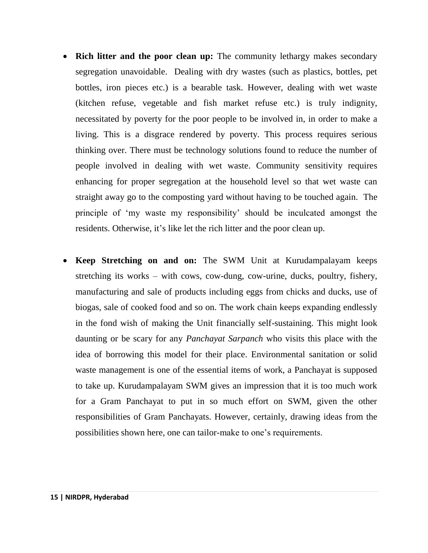- **Rich litter and the poor clean up:** The community lethargy makes secondary segregation unavoidable. Dealing with dry wastes (such as plastics, bottles, pet bottles, iron pieces etc.) is a bearable task. However, dealing with wet waste (kitchen refuse, vegetable and fish market refuse etc.) is truly indignity, necessitated by poverty for the poor people to be involved in, in order to make a living. This is a disgrace rendered by poverty. This process requires serious thinking over. There must be technology solutions found to reduce the number of people involved in dealing with wet waste. Community sensitivity requires enhancing for proper segregation at the household level so that wet waste can straight away go to the composting yard without having to be touched again. The principle of 'my waste my responsibility' should be inculcated amongst the residents. Otherwise, it's like let the rich litter and the poor clean up.
- **Keep Stretching on and on:** The SWM Unit at Kurudampalayam keeps stretching its works – with cows, cow-dung, cow-urine, ducks, poultry, fishery, manufacturing and sale of products including eggs from chicks and ducks, use of biogas, sale of cooked food and so on. The work chain keeps expanding endlessly in the fond wish of making the Unit financially self-sustaining. This might look daunting or be scary for any *Panchayat Sarpanch* who visits this place with the idea of borrowing this model for their place. Environmental sanitation or solid waste management is one of the essential items of work, a Panchayat is supposed to take up. Kurudampalayam SWM gives an impression that it is too much work for a Gram Panchayat to put in so much effort on SWM, given the other responsibilities of Gram Panchayats. However, certainly, drawing ideas from the possibilities shown here, one can tailor-make to one's requirements.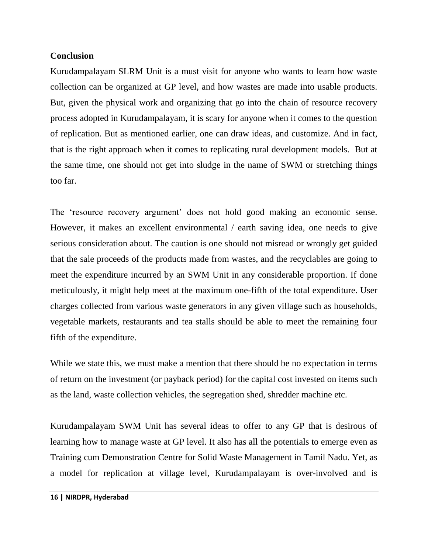#### **Conclusion**

Kurudampalayam SLRM Unit is a must visit for anyone who wants to learn how waste collection can be organized at GP level, and how wastes are made into usable products. But, given the physical work and organizing that go into the chain of resource recovery process adopted in Kurudampalayam, it is scary for anyone when it comes to the question of replication. But as mentioned earlier, one can draw ideas, and customize. And in fact, that is the right approach when it comes to replicating rural development models. But at the same time, one should not get into sludge in the name of SWM or stretching things too far.

The 'resource recovery argument' does not hold good making an economic sense. However, it makes an excellent environmental / earth saving idea, one needs to give serious consideration about. The caution is one should not misread or wrongly get guided that the sale proceeds of the products made from wastes, and the recyclables are going to meet the expenditure incurred by an SWM Unit in any considerable proportion. If done meticulously, it might help meet at the maximum one-fifth of the total expenditure. User charges collected from various waste generators in any given village such as households, vegetable markets, restaurants and tea stalls should be able to meet the remaining four fifth of the expenditure.

While we state this, we must make a mention that there should be no expectation in terms of return on the investment (or payback period) for the capital cost invested on items such as the land, waste collection vehicles, the segregation shed, shredder machine etc.

Kurudampalayam SWM Unit has several ideas to offer to any GP that is desirous of learning how to manage waste at GP level. It also has all the potentials to emerge even as Training cum Demonstration Centre for Solid Waste Management in Tamil Nadu. Yet, as a model for replication at village level, Kurudampalayam is over-involved and is